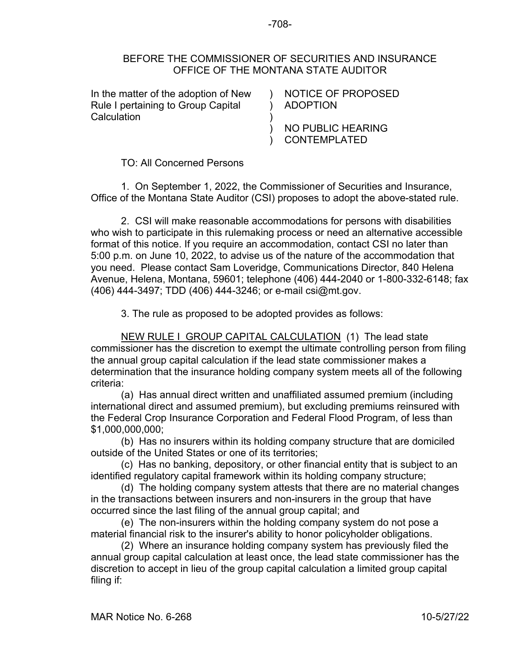## BEFORE THE COMMISSIONER OF SECURITIES AND INSURANCE OFFICE OF THE MONTANA STATE AUDITOR

)

)

)

In the matter of the adoption of New Rule I pertaining to Group Capital **Calculation** 

) ADOPTION NOTICE OF PROPOSED

) NO PUBLIC HEARING CONTEMPLATED

TO: All Concerned Persons

1. On September 1, 2022, the Commissioner of Securities and Insurance, Office of the Montana State Auditor (CSI) proposes to adopt the above-stated rule.

2. CSI will make reasonable accommodations for persons with disabilities who wish to participate in this rulemaking process or need an alternative accessible format of this notice. If you require an accommodation, contact CSI no later than 5:00 p.m. on June 10, 2022, to advise us of the nature of the accommodation that you need. Please contact Sam Loveridge, Communications Director, 840 Helena Avenue, Helena, Montana, 59601; telephone (406) 444-2040 or 1-800-332-6148; fax (406) 444-3497; TDD (406) 444-3246; or e-mail csi@mt.gov.

3. The rule as proposed to be adopted provides as follows:

NEW RULE I GROUP CAPITAL CALCULATION (1) The lead state commissioner has the discretion to exempt the ultimate controlling person from filing the annual group capital calculation if the lead state commissioner makes a determination that the insurance holding company system meets all of the following criteria:

(a) Has annual direct written and unaffiliated assumed premium (including international direct and assumed premium), but excluding premiums reinsured with the Federal Crop Insurance Corporation and Federal Flood Program, of less than \$1,000,000,000;

(b) Has no insurers within its holding company structure that are domiciled outside of the United States or one of its territories;

(c) Has no banking, depository, or other financial entity that is subject to an identified regulatory capital framework within its holding company structure;

(d) The holding company system attests that there are no material changes in the transactions between insurers and non-insurers in the group that have occurred since the last filing of the annual group capital; and

(e) The non-insurers within the holding company system do not pose a material financial risk to the insurer's ability to honor policyholder obligations.

(2) Where an insurance holding company system has previously filed the annual group capital calculation at least once, the lead state commissioner has the discretion to accept in lieu of the group capital calculation a limited group capital filing if: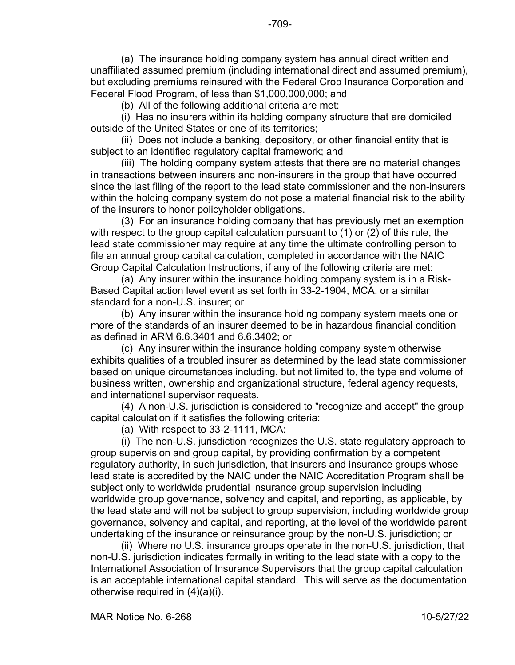(a) The insurance holding company system has annual direct written and unaffiliated assumed premium (including international direct and assumed premium), but excluding premiums reinsured with the Federal Crop Insurance Corporation and Federal Flood Program, of less than \$1,000,000,000; and

(b) All of the following additional criteria are met:

(i) Has no insurers within its holding company structure that are domiciled outside of the United States or one of its territories;

(ii) Does not include a banking, depository, or other financial entity that is subject to an identified regulatory capital framework; and

(iii) The holding company system attests that there are no material changes in transactions between insurers and non-insurers in the group that have occurred since the last filing of the report to the lead state commissioner and the non-insurers within the holding company system do not pose a material financial risk to the ability of the insurers to honor policyholder obligations.

(3) For an insurance holding company that has previously met an exemption with respect to the group capital calculation pursuant to (1) or (2) of this rule, the lead state commissioner may require at any time the ultimate controlling person to file an annual group capital calculation, completed in accordance with the NAIC Group Capital Calculation Instructions, if any of the following criteria are met:

(a) Any insurer within the insurance holding company system is in a Risk-Based Capital action level event as set forth in 33-2-1904, MCA, or a similar standard for a non-U.S. insurer; or

(b) Any insurer within the insurance holding company system meets one or more of the standards of an insurer deemed to be in hazardous financial condition as defined in ARM 6.6.3401 and 6.6.3402; or

(c) Any insurer within the insurance holding company system otherwise exhibits qualities of a troubled insurer as determined by the lead state commissioner based on unique circumstances including, but not limited to, the type and volume of business written, ownership and organizational structure, federal agency requests, and international supervisor requests.

(4) A non-U.S. jurisdiction is considered to "recognize and accept" the group capital calculation if it satisfies the following criteria:

(a) With respect to 33-2-1111, MCA:

(i) The non-U.S. jurisdiction recognizes the U.S. state regulatory approach to group supervision and group capital, by providing confirmation by a competent regulatory authority, in such jurisdiction, that insurers and insurance groups whose lead state is accredited by the NAIC under the NAIC Accreditation Program shall be subject only to worldwide prudential insurance group supervision including worldwide group governance, solvency and capital, and reporting, as applicable, by the lead state and will not be subject to group supervision, including worldwide group governance, solvency and capital, and reporting, at the level of the worldwide parent undertaking of the insurance or reinsurance group by the non-U.S. jurisdiction; or

(ii) Where no U.S. insurance groups operate in the non-U.S. jurisdiction, that non-U.S. jurisdiction indicates formally in writing to the lead state with a copy to the International Association of Insurance Supervisors that the group capital calculation is an acceptable international capital standard. This will serve as the documentation otherwise required in (4)(a)(i).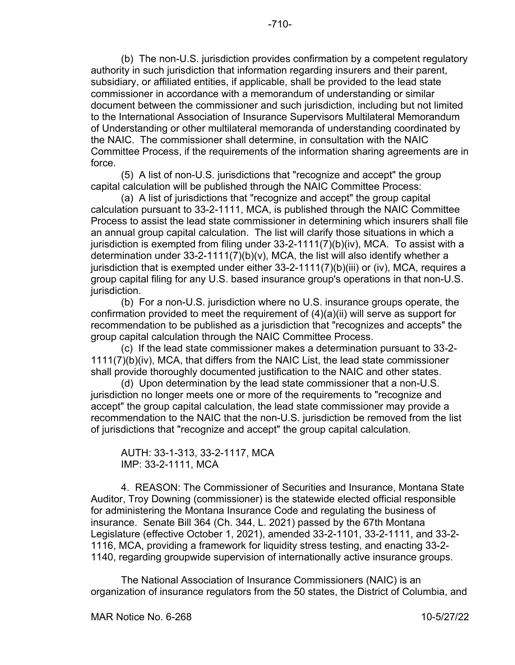(b) The non-U.S. jurisdiction provides confirmation by a competent regulatory authority in such jurisdiction that information regarding insurers and their parent, subsidiary, or affiliated entities, if applicable, shall be provided to the lead state commissioner in accordance with a memorandum of understanding or similar document between the commissioner and such jurisdiction, including but not limited to the International Association of Insurance Supervisors Multilateral Memorandum of Understanding or other multilateral memoranda of understanding coordinated by the NAIC. The commissioner shall determine, in consultation with the NAIC Committee Process, if the requirements of the information sharing agreements are in force.

(5) A list of non-U.S. jurisdictions that "recognize and accept" the group capital calculation will be published through the NAIC Committee Process:

(a) A list of jurisdictions that "recognize and accept" the group capital calculation pursuant to 33-2-1111, MCA, is published through the NAIC Committee Process to assist the lead state commissioner in determining which insurers shall file an annual group capital calculation. The list will clarify those situations in which a jurisdiction is exempted from filing under 33-2-1111(7)(b)(iv), MCA. To assist with a determination under 33-2-1111(7)(b)(v), MCA, the list will also identify whether a jurisdiction that is exempted under either 33-2-1111(7)(b)(iii) or (iv), MCA, requires a group capital filing for any U.S. based insurance group's operations in that non-U.S. jurisdiction.

(b) For a non-U.S. jurisdiction where no U.S. insurance groups operate, the confirmation provided to meet the requirement of (4)(a)(ii) will serve as support for recommendation to be published as a jurisdiction that "recognizes and accepts" the group capital calculation through the NAIC Committee Process.

(c) If the lead state commissioner makes a determination pursuant to 33-2- 1111(7)(b)(iv), MCA, that differs from the NAIC List, the lead state commissioner shall provide thoroughly documented justification to the NAIC and other states.

(d) Upon determination by the lead state commissioner that a non-U.S. jurisdiction no longer meets one or more of the requirements to "recognize and accept" the group capital calculation, the lead state commissioner may provide a recommendation to the NAIC that the non-U.S. jurisdiction be removed from the list of jurisdictions that "recognize and accept" the group capital calculation.

AUTH: 33-1-313, 33-2-1117, MCA IMP: 33-2-1111, MCA

4. REASON: The Commissioner of Securities and Insurance, Montana State Auditor, Troy Downing (commissioner) is the statewide elected official responsible for administering the Montana Insurance Code and regulating the business of insurance. Senate Bill 364 (Ch. 344, L. 2021) passed by the 67th Montana Legislature (effective October 1, 2021), amended 33-2-1101, 33-2-1111, and 33-2- 1116, MCA, providing a framework for liquidity stress testing, and enacting 33-2- 1140, regarding groupwide supervision of internationally active insurance groups.

The National Association of Insurance Commissioners (NAIC) is an organization of insurance regulators from the 50 states, the District of Columbia, and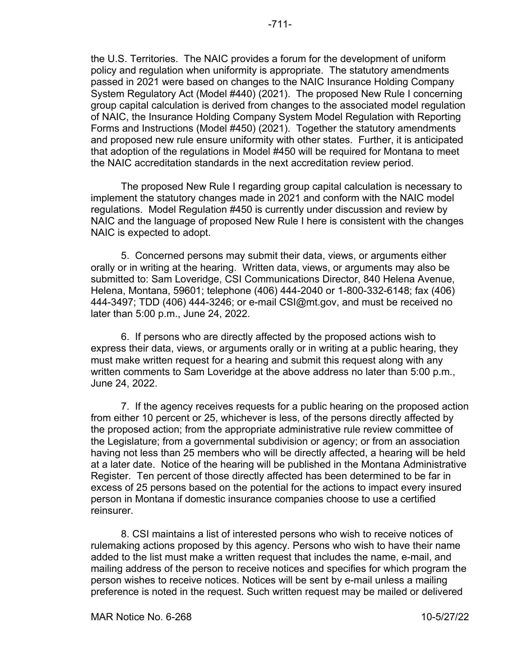the U.S. Territories. The NAIC provides a forum for the development of uniform policy and regulation when uniformity is appropriate. The statutory amendments passed in 2021 were based on changes to the NAIC Insurance Holding Company System Regulatory Act (Model #440) (2021). The proposed New Rule I concerning

group capital calculation is derived from changes to the associated model regulation of NAIC, the Insurance Holding Company System Model Regulation with Reporting Forms and Instructions (Model #450) (2021). Together the statutory amendments and proposed new rule ensure uniformity with other states. Further, it is anticipated that adoption of the regulations in Model #450 will be required for Montana to meet the NAIC accreditation standards in the next accreditation review period.

The proposed New Rule I regarding group capital calculation is necessary to implement the statutory changes made in 2021 and conform with the NAIC model regulations. Model Regulation #450 is currently under discussion and review by NAIC and the language of proposed New Rule I here is consistent with the changes NAIC is expected to adopt.

5. Concerned persons may submit their data, views, or arguments either orally or in writing at the hearing. Written data, views, or arguments may also be submitted to: Sam Loveridge, CSI Communications Director, 840 Helena Avenue, Helena, Montana, 59601; telephone (406) 444-2040 or 1-800-332-6148; fax (406) 444-3497; TDD (406) 444-3246; or e-mail CSI@mt.gov, and must be received no later than 5:00 p.m., June 24, 2022.

6. If persons who are directly affected by the proposed actions wish to express their data, views, or arguments orally or in writing at a public hearing, they must make written request for a hearing and submit this request along with any written comments to Sam Loveridge at the above address no later than 5:00 p.m., June 24, 2022.

7. If the agency receives requests for a public hearing on the proposed action from either 10 percent or 25, whichever is less, of the persons directly affected by the proposed action; from the appropriate administrative rule review committee of the Legislature; from a governmental subdivision or agency; or from an association having not less than 25 members who will be directly affected, a hearing will be held at a later date. Notice of the hearing will be published in the Montana Administrative Register. Ten percent of those directly affected has been determined to be far in excess of 25 persons based on the potential for the actions to impact every insured person in Montana if domestic insurance companies choose to use a certified reinsurer.

8. CSI maintains a list of interested persons who wish to receive notices of rulemaking actions proposed by this agency. Persons who wish to have their name added to the list must make a written request that includes the name, e-mail, and mailing address of the person to receive notices and specifies for which program the person wishes to receive notices. Notices will be sent by e-mail unless a mailing preference is noted in the request. Such written request may be mailed or delivered